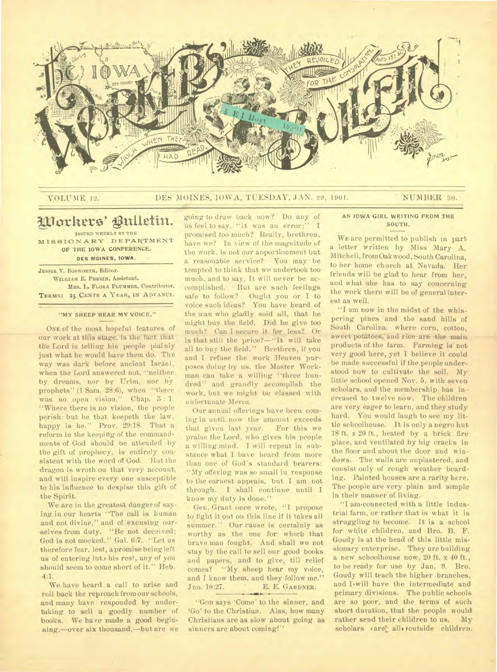

# VOLUME 12. DES MOINES, IOWA, TUESDAY, JAN. 29, 1901. NUMBER 30.

# Workers' Bulletin.

**ISSUED WEEKLY BY THE M18SIONAEY DEPARTMENT OP THE IOWA CONFERENCE,** 

**DES MOINES, IOWA.** 

**JESSIE V. BOSWORTH,** Editor. **WILLIAM** E. **PERRIN,** Assistant. **MRS. L. FLORA PLUMMER, Contributor. TERMS: 25 CENTS A YEAR, IN ADVANCE.** 

#### **"MY SHEEP HEAR MY VOICE."**

ONE of the most hopeful features of our work at this stage, is the fact that the Lord is telling his people plainly just what he would have them do. The way was dark before ancient Israel, when the Lord answered not, "neither by dreams, nor by Urim, nor by prophets" (1 Sam. 28:6), when "there was no open vision." Chap. 3:1. "Where there is no vision, the people perish: but he that keepeth the law, happy is he." Prov. 29:18. That a reform in the keepidg, of the commandments of God should be attended by the gift of prophecy, is entirely consistent with the word of God. But the dragon is wroth on that very account, and will inspire every one susceptible to his influence to despise this gift of the Spirit.

We are in the greatest danger of saying in our hearts "The call is human and not divine," and of excusing ourselves from duty. "Be not deceived; God is not mocked." Gal. 6:7. "Let us therefore fear, lest, a promise being left us of entering int) his rest, any of you should seem to come short of it." Heb. 4:1.

We have heard a call to arise and roll back the reproach from our schools, and many have responded by undertaking to sell a goodly number of books. We have made a good beginning,—over six thousand,—but are we going to draw back now? Do any of us feel to say, "lt was an error;" I promised too much? Really, brethren, have we? In view of the magnitude of the work, is not our apportionment but a reasonable service? You may be tempted to think that we undertook too much, and to say, It will never be accomplished. But are such feelings safe to follow? Ought you or I to voice such ideas? You have heard of the man who gladly sold all, that he might buy the field. Did he give too much? Can I secure it for less? Or is that still the price?—"It will take all to buy the field." Brethren, if you and I refuse the work Heaven purposes doing by us. the Master Workman can take a willing "three hundred" and grandly accomplish the Work, but we might be classed with unfortunate Meroz.

Our annual offerings have been coming in until now the amount exceeds that given last year. For this we praise the Lord, who gives his people a willing mind. I will repeat in substance what I have heard from more than one of God's standard bearers: "My offering was so small in response to the earnest appeals, but I am not through. I shall continue until I know my duty is done."

Gen. Grant once wrote, "I propose to fight it out on this line if it takes all summer." Our cause is certainly as worthy as the one for which that brave man fought. And shall we not stay by the call to sell our good books and papers, and to give, till relief comes? "My sheep hear my voice, and I know them, and they follow me.' Jno. 10:27. E. E. GARDNER.

"GOD says 'Come' to the sinner, and `Go' to the Christian. Alas, how many Christians are as slow about going as sinners are about coming!"

**AN IOWA GIRL WRITING FROM THE SOUTH.** 

WE are permitted to publish in part a letter written by Miss Mary A. Mitchell, from Oak wood, South Carolina, to her home church at Nevada. Her friends will be glad to hear from her, and what she has to say concerning the work there will be of general interest as well.

"I am now in the midst of the whispering pines and the sand hills of South Carolina, where corn, cotton, sweet potatoes, and rice are the main products of the farm. Farming is not very good here, yet I believe it could be made successful if the people understood now to cultivate the soil. My little school opened Nov. 5, with seven scholars, and the membership has increased to twelve now. The children are very eager to learn, and they study hard. You would laugh to see my little schoolhouse. It is only a negro hut 18 ft. x 20 ft., heated by a brick fire place, and ventilated by big cracks in the floor and about the door and windows. The walls are uuplastered, and consist only of rough weather boarding. Painted houses are a rarity here. The people are very plain and simple in their manner of living.

"I am.connected with a little industrial farm, or rather that is what it is struggling to become. It is a school for white children, and Bro. B. F. Goudy is at the head of this little missionary enterprise. They are building a new schoolhouse now, 20 ft. x 40 ft., to be ready for use by Jan. 9. Bro. Goudy will teach the higher branches, and I.will have the intermediate and primary divisions. The public schools are so poor, and the terms of such short duration, that the people would rather send their children to us. My scholars 'are' alli toutside children.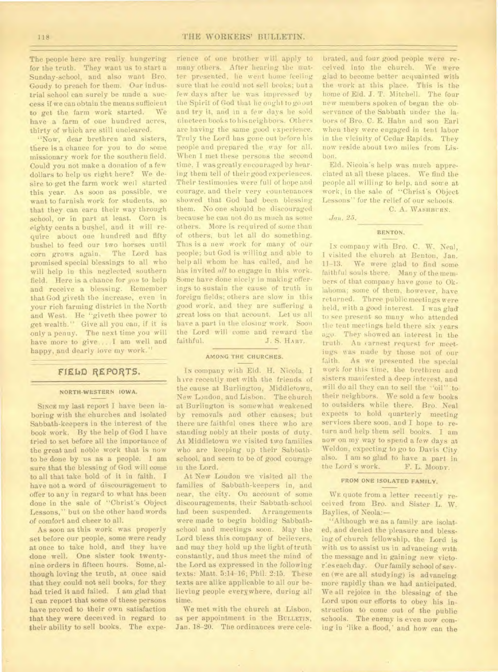## 118 THE WORKERS' BULLETIN.

The people here are really hungering for the truth. They want us to start a Sunday-school, and also want Bro. Goudy to preach for them. Our industrial school can surely be made a success if we can obtain the means sufficient to get the farm work started. We have a farm of one hundred acres, thirty of which are still uncleared.

"Now, dear brethren and sisters, there is a chance for you to do some missionary work for the southern field. Could you not make a donation of a few dollars to help us right here? We desire to get the farm work well started this year. As soon as possible, we want to furnish work for students, so that they can earn their way through school, or in part at least. Corn is eighty cents a bushel, and it will require about one hundred and fifty bushel to feed our two horses until corn grows again. The Lord has promised special blessings to all who will help in this neglected southern field. Here is a chance for *you* to help and receive a blessing. Remember that God giveth the increase, even in your rich farming district in the North and West. He "giveth thee power to get wealth." Give all you can, if it is only a penny. The next time you will have more to give....I am well and happy, and dearly love my work."

### **F1EbD REPORTS.**

#### **NORTH-WESTERN IOWA.**

SINCE my last report I have been laboring with the churches and isolated Sabbath-keepers in the interest of the book work. By the help of God I have tried to set before all the importance of the great and noble work that is now to be done by us as a people. I am sure that the blessing of God will come to all that take hold of it in faith. I have not a word of discouragement to offer to any in regard to what has been done in the sale of "Christ's Object Lessons," but on the other hand words of comfort and cheer to all.

As soon as this work was properly set before our people, some were ready at once to take hold, and they have done well. One sister took twentynine orders in fifteen hours. Some, although loving the truth, at once said that they could not sell books, for they had tried it and failed. I am glad that I can report that some of these persons have proved to their own satisfaction that they were deceived in regard to their ability to sell books. The expe-

rience of one brother will apply to many others. After hearing the matter presented, he went home feeling sure that he could not sell books; but a few days after he was impressed by the Spirit of God that lie ought to go out and try it, and in a few days he sold nineteen books to his neighbors. Others are having the same good experience. Truly the Lord has gone out before his people and prepared the way for all. When I met these persons the second time, I was greatly encouraged by hearing them tell of their good experiences. Their testimonies were full of hope and courage, and their very countenances showed that God had been blessing them. No one should be discouraged because he can not do as much as some others. More is required of some than of others, but let all do something. This is a new work for many of our people; but God is willing and able to help all whom he has called, and he has invited *all* to engage in this work. Some have done nicely in making offerings to sustain the cause of truth in foreign fields; others are slow in this good work, and they are suffering a great loss on that account. Let us all have a part in the closing work. Soon the Lord will come and reward the faithful. J. S. HART.

#### **AMONG THE CHURCHES.**

IN company with Eld. H. Nicola, I h we recently met with the friends of the cause at Burlington, Middletown, New London, and Lisbon. The church at Burlington is somewhat weakened by removals and other causes; but there are faithful ones there who are standing nobly at their posts of duty. At Middletown we visited two families who are keeping up their Sabbathschool, and seem to be of good courage in the Lord.

At New London we visited all the families of Sabbath-keepers in, and near, the city. On account of some discouragements, their Sabbath-school had been suspended. Arrangements were made to begin holding Sabbathschool and meetings soon. May the Lord bless this company of believers, and may they hold up the light of truth constantly, and thus meet the mind of the Lord as expressed in the following texts: Matt. 5:14-16; Phil. 2:15. These texts are alike applicable to all our believing people everywhere, during all time.

We met with the church at Lisbon, as per appointment in the BULLETIN, Jan. 18-20. The ordinances were cele-

brated, and four good people were received into the church. We were glad to become better acquainted with the work at this place. This is the home of Eld. J. T. Mitchell. The four new members spoken of began the observance of the Sabbath under the labors of Bro. C. E. Hahn and son Earl when they were engaged in tent labor in the vicinity of Cedar Rapids. They now reside about two miles from Lisbon.

Eld. Nicola's help was much appreciated at all these places. We find the people all willing to help, and some at work, in the sale of "Christ's Object Lessons" for the relief of our schools.

C. A. **WASHBURN.** 

*Jan. 25.* 

# **BENTON.**

Is company with Bro. C. W. Neal, I visited the church at Benton, Jan. 11-13. We were glad to find some faithful souls there. Many of the members of that company have gone to Oklahoma; some of them, however, have returned. Three public meetings were held, with a good interest. I was glad to see present so many who attended the tent meetings held there six years ago. They showed an interest in the truth. An earnest request for meetings was made by those not of our<br>faith. As we presented the special As we presented the special work for this time, the brethren and sisters manifested a deep interest, and will do all they can to sell the "oil" to their neighbors. We sold a few books to outsiders while there. Bro. Neal expects to hold quarterly meeting services there soon, and I hope to return and help them sell books. I am now on my way to spend a few days at Weldon, expecting to go to Davis City also. I am so glad to have a part in<br>the Lord's work. F. L. Moopr. the Lord's work.

# **FROM ONE ISOLATED FAMILY.**

WE quote from a letter recently received from Bro. and Sister L. W. Baylies, of Neola:—

"Although we as a family are isolated, and denied the pleasure and blessing of church fellowship, the Lord is with us to assist us in advancing with the message and in gaining new victor:es each day. Our family school of seven (we are all studying) is advancing more rapidly than we had anticipated. We all rejoice in the blessing of the Lord upon our efforts to obey his instruction to come out of the public schools. The enemy is even now coming in 'like a flood,' and how can the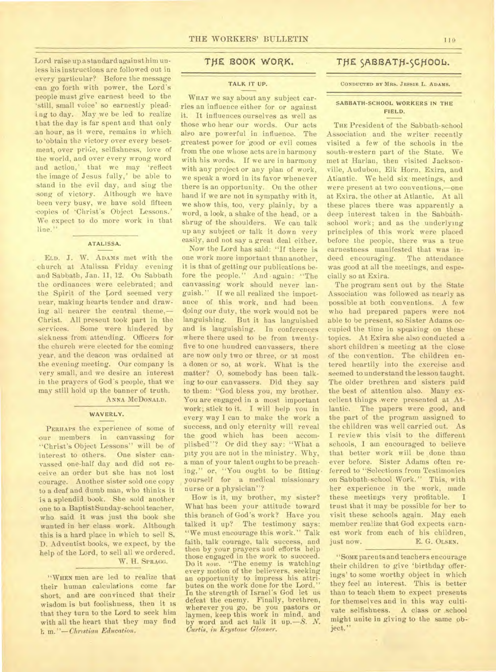-Lord raise up a standard against him unless his instructions are followed out in every particular? Before the message can go forth with power, the Lord's people must give earnest heed to the `still, small voice' so earnestly pleading to day. May we be led to realize that the day is far spent and that only an hour, as it were, remains in which to 'obtain the victory over every besetment, over pride, selfishness, love of the world, and over every wrong word and action,' that we may 'reflect the image of Jesus fully,' be able to stand in the evil day, and sing the song of victory. Although we have been very busy, we have sold fifteen copies of 'Christ's Object Lessons.' We expect to do more work in that line."

#### **ATALISSA.**

ELD. J. W. ADAMS met with the church at Atalissa Friday evening and Sabbath, Jan. 11, 12. On Sabbath the ordinances were celebrated; and the Spirit of the Lord seemed very near, making hearts tender and drawing all nearer the central theme,-Christ. All present took part in the services. Some were hindered by sickness from attending. Officers for the church were elected for the coming year, and the deacon was ordained at the evening meeting. Our company is very small, and we desire an interest in the prayers of God's people, that we may still hold up the banner of truth.

ANNA MCDONAI.D.

#### **WAVERLY.**

PERHAPS the experience of some of our members in canvassing for "Christ's Object Lessons" will be of interest to others. One sister canvassed one-half day and did not receive an order but she has not lost courage. Another sister sold one copy to a deaf and dumb man, who thinks it is a splendid book. She sold another one to a Baptist Sunday-school teacher, who said it was just the book she wanted in her class work. Although this is a hard place in which to sell S. D. Adventist books, we expect, by the help of the Lord, to sell all we ordered. W. H. SPRAGG.

"WHEN men are led to realize that their human calculations come far short, and are convinced that their wisdom is but foolishness, then it is that they turn to the Lord to seek him with all the heart that they may find *h* m. *"—Christian Education.* 

# THE BOOK WORK.

# **TALK IT UP.**

WHAT we say about any subject carries an influence either for or against it. It influences ourselves as well as those who hear our words. Our acts also are powerful in influence. The greatest power for good or evil comes from the one whose acts are in harmony with his words. If we are in harmony with any project or any plan of work, we speak a word in its favor whenever there is an opportunity. On the other hand if we are not in sympathy with it, we show this, too, very plainly, by a word, a look, a shake of the head, or a shrug of the shoulders. We can talk up any subject or talk it down very easily, and not say a great deal either.

Now the Lord has said: "If there is one work more important than another, it is that of getting our publications before the people." And again: "The canvassing work should never languish." If we all realized the importance of this work, and had been doing our duty, the work would not be languishing. But it has languished and is languishing. In conferences where there used to be from twentyfive to one hundred canvassers, there are now only two or three, or at most a dozen or so, at work. What is the matter? 0, somebody has been talking to-our canvassers. Did they say to them: "God bless you, my brother. You are engaged in a most important work; stick to it. I will help you in every way I can to make the work a success, and only eternity will reveal the good which has been accomplished"? Or did they say: "What a pity you are not in the ministry. Why, a man of your talent ought to be preaching," or, "You ought to be fittingyourself for a medical missionary nurse or a physician"?

How is it, my brother, my sister? What has been your attitude toward this branch of God's work? Have you talked it up? The testimony says: "We must encourage this work." Talk faith, talk courage, talk success, and then by your prayers and efforts help those engaged in the work to succeed. Do it *now.* "The enemy is watching every motion of the believers, seeking an opportunity to impress his attributes on the work done for the Lord." In the strength of Israel's God let us defeat the enemy. Finally, brethren, wherever you go, be you pastors or laymen, keep this work in mind, and by word and act talk it up. - S. N. *Curtis, in Keystone Gleaner.* 

# THE SABBATH-SCHOOL.

#### **CONDUCTED BY MRS. JESSIE L. ADAMS.**

## **SABBATH-SCHOOL WORKERS IN THE FIELD.**

THE President of the Sabbath-school Association and the writer recently visited a few of the schools in the south-western part of the State. We met at Harlan, then visited Jacksonville, Audubon, Elk Horn, Exira, and Atlantic. We held six meetings, and were present at two conventions,—one at Exira, the other at Atlantic. At all these places there was apparently a deep interest taken in the Sabbathschool work; and as the underlying principles of this work were placed before the people, there was a true earnestness manifested that was indeed encouraging. The attendance was good at all the meetings, and especially so at Exira.

The program sent out by the State Association was followed as nearly as possible at both conventions. A few who had prepared papers were not able to be present, so Sister Adams occupied the time in speaking on these topics. At Exira she also conducted a short children's meeting at the close of the convention. The children entered heartily into the exercise and seemed to understand the lesson taught. The older brethren and sisters paid the best of attention also. Many excellent things .were presented at Atlantic. The papers were good, and the part of the program assigned to the children was well carried out. As I review this visit to the different schools, I am encouraged to believe that better work will be done than ever before. Sister Adams often referred to "Selections from Testimonies on Sabbath-school Work." This, with her experience in the work, made these meetings very profitable. I trust that it may be possible for her to visit these schools again. May each member realize that God expects earnest work from each of his children, just now. E. G. OLSEN.

"SOME parents and teachers encourage their children to give 'birthday offerings' to some worthy object in which they feel an interest. This is better than to teach them to expect presents for themselves and in this way cultivate selfishness. A class or ,school might unite in giving to the same object."